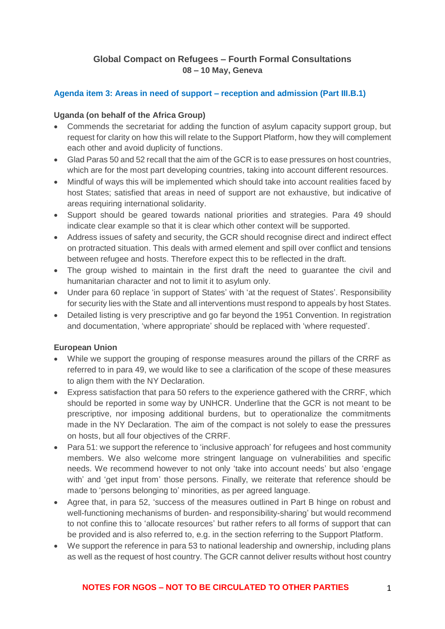# **Global Compact on Refugees – Fourth Formal Consultations 08 – 10 May, Geneva**

#### **Agenda item 3: Areas in need of support – reception and admission (Part III.B.1)**

#### **Uganda (on behalf of the Africa Group)**

- Commends the secretariat for adding the function of asylum capacity support group, but request for clarity on how this will relate to the Support Platform, how they will complement each other and avoid duplicity of functions.
- Glad Paras 50 and 52 recall that the aim of the GCR is to ease pressures on host countries, which are for the most part developing countries, taking into account different resources.
- Mindful of ways this will be implemented which should take into account realities faced by host States; satisfied that areas in need of support are not exhaustive, but indicative of areas requiring international solidarity.
- Support should be geared towards national priorities and strategies. Para 49 should indicate clear example so that it is clear which other context will be supported.
- Address issues of safety and security, the GCR should recognise direct and indirect effect on protracted situation. This deals with armed element and spill over conflict and tensions between refugee and hosts. Therefore expect this to be reflected in the draft.
- The group wished to maintain in the first draft the need to quarantee the civil and humanitarian character and not to limit it to asylum only.
- Under para 60 replace 'in support of States' with 'at the request of States'. Responsibility for security lies with the State and all interventions must respond to appeals by host States.
- Detailed listing is very prescriptive and go far beyond the 1951 Convention. In registration and documentation, 'where appropriate' should be replaced with 'where requested'.

#### **European Union**

- While we support the grouping of response measures around the pillars of the CRRF as referred to in para 49, we would like to see a clarification of the scope of these measures to align them with the NY Declaration.
- Express satisfaction that para 50 refers to the experience gathered with the CRRF, which should be reported in some way by UNHCR. Underline that the GCR is not meant to be prescriptive, nor imposing additional burdens, but to operationalize the commitments made in the NY Declaration. The aim of the compact is not solely to ease the pressures on hosts, but all four objectives of the CRRF.
- Para 51: we support the reference to 'inclusive approach' for refugees and host community members. We also welcome more stringent language on vulnerabilities and specific needs. We recommend however to not only 'take into account needs' but also 'engage with' and 'get input from' those persons. Finally, we reiterate that reference should be made to 'persons belonging to' minorities, as per agreed language.
- Agree that, in para 52, 'success of the measures outlined in Part B hinge on robust and well-functioning mechanisms of burden- and responsibility-sharing' but would recommend to not confine this to 'allocate resources' but rather refers to all forms of support that can be provided and is also referred to, e.g. in the section referring to the Support Platform.
- We support the reference in para 53 to national leadership and ownership, including plans as well as the request of host country. The GCR cannot deliver results without host country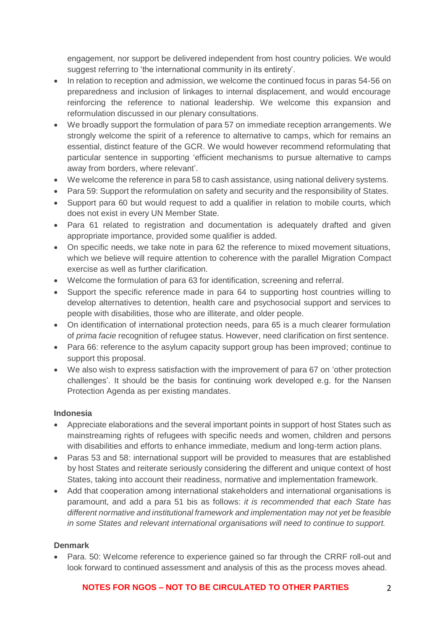engagement, nor support be delivered independent from host country policies. We would suggest referring to 'the international community in its entirety'.

- In relation to reception and admission, we welcome the continued focus in paras 54-56 on preparedness and inclusion of linkages to internal displacement, and would encourage reinforcing the reference to national leadership. We welcome this expansion and reformulation discussed in our plenary consultations.
- We broadly support the formulation of para 57 on immediate reception arrangements. We strongly welcome the spirit of a reference to alternative to camps, which for remains an essential, distinct feature of the GCR. We would however recommend reformulating that particular sentence in supporting 'efficient mechanisms to pursue alternative to camps away from borders, where relevant'.
- We welcome the reference in para 58 to cash assistance, using national delivery systems.
- Para 59: Support the reformulation on safety and security and the responsibility of States.
- Support para 60 but would request to add a qualifier in relation to mobile courts, which does not exist in every UN Member State.
- Para 61 related to registration and documentation is adequately drafted and given appropriate importance, provided some qualifier is added.
- On specific needs, we take note in para 62 the reference to mixed movement situations, which we believe will require attention to coherence with the parallel Migration Compact exercise as well as further clarification.
- Welcome the formulation of para 63 for identification, screening and referral.
- Support the specific reference made in para 64 to supporting host countries willing to develop alternatives to detention, health care and psychosocial support and services to people with disabilities, those who are illiterate, and older people.
- On identification of international protection needs, para 65 is a much clearer formulation of *prima facie* recognition of refugee status. However, need clarification on first sentence.
- Para 66: reference to the asylum capacity support group has been improved; continue to support this proposal.
- We also wish to express satisfaction with the improvement of para 67 on 'other protection challenges'. It should be the basis for continuing work developed e.g. for the Nansen Protection Agenda as per existing mandates.

## **Indonesia**

- Appreciate elaborations and the several important points in support of host States such as mainstreaming rights of refugees with specific needs and women, children and persons with disabilities and efforts to enhance immediate, medium and long-term action plans.
- Paras 53 and 58: international support will be provided to measures that are established by host States and reiterate seriously considering the different and unique context of host States, taking into account their readiness, normative and implementation framework.
- Add that cooperation among international stakeholders and international organisations is paramount, and add a para 51 bis as follows: *it is recommended that each State has different normative and institutional framework and implementation may not yet be feasible in some States and relevant international organisations will need to continue to support.*

## **Denmark**

• Para. 50: Welcome reference to experience gained so far through the CRRF roll-out and look forward to continued assessment and analysis of this as the process moves ahead.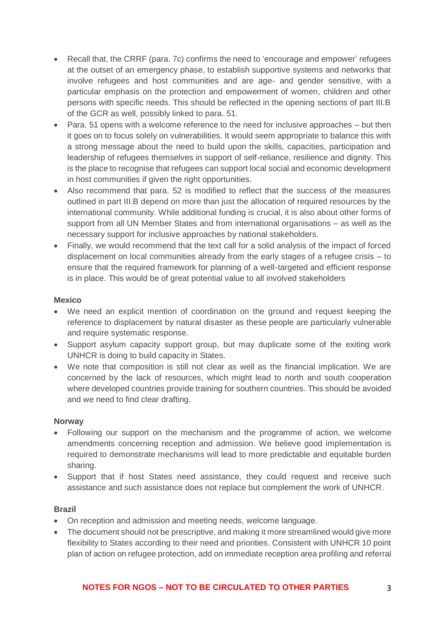- Recall that, the CRRF (para. 7c) confirms the need to 'encourage and empower' refugees at the outset of an emergency phase, to establish supportive systems and networks that involve refugees and host communities and are age- and gender sensitive, with a particular emphasis on the protection and empowerment of women, children and other persons with specific needs. This should be reflected in the opening sections of part III.B of the GCR as well, possibly linked to para. 51.
- Para. 51 opens with a welcome reference to the need for inclusive approaches but then it goes on to focus solely on vulnerabilities. It would seem appropriate to balance this with a strong message about the need to build upon the skills, capacities, participation and leadership of refugees themselves in support of self-reliance, resilience and dignity. This is the place to recognise that refugees can support local social and economic development in host communities if given the right opportunities.
- Also recommend that para. 52 is modified to reflect that the success of the measures outlined in part III.B depend on more than just the allocation of required resources by the international community. While additional funding is crucial, it is also about other forms of support from all UN Member States and from international organisations – as well as the necessary support for inclusive approaches by national stakeholders.
- Finally, we would recommend that the text call for a solid analysis of the impact of forced displacement on local communities already from the early stages of a refugee crisis – to ensure that the required framework for planning of a well-targeted and efficient response is in place. This would be of great potential value to all involved stakeholders

#### **Mexico**

- We need an explicit mention of coordination on the ground and request keeping the reference to displacement by natural disaster as these people are particularly vulnerable and require systematic response.
- Support asylum capacity support group, but may duplicate some of the exiting work UNHCR is doing to build capacity in States.
- We note that composition is still not clear as well as the financial implication. We are concerned by the lack of resources, which might lead to north and south cooperation where developed countries provide training for southern countries. This should be avoided and we need to find clear drafting.

#### **Norway**

- Following our support on the mechanism and the programme of action, we welcome amendments concerning reception and admission. We believe good implementation is required to demonstrate mechanisms will lead to more predictable and equitable burden sharing.
- Support that if host States need assistance, they could request and receive such assistance and such assistance does not replace but complement the work of UNHCR.

## **Brazil**

- On reception and admission and meeting needs, welcome language.
- The document should not be prescriptive, and making it more streamlined would give more flexibility to States according to their need and priorities. Consistent with UNHCR 10 point plan of action on refugee protection, add on immediate reception area profiling and referral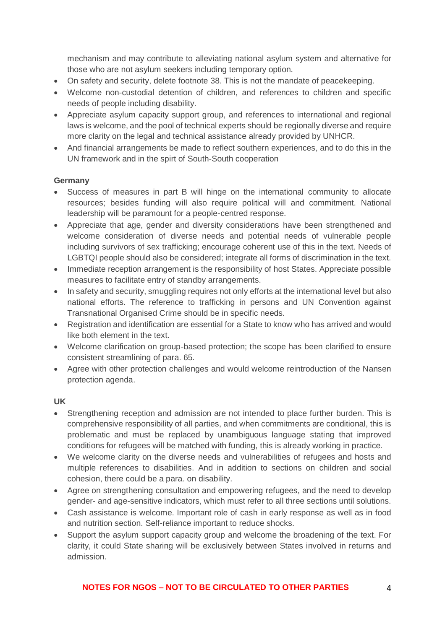mechanism and may contribute to alleviating national asylum system and alternative for those who are not asylum seekers including temporary option.

- On safety and security, delete footnote 38. This is not the mandate of peacekeeping.
- Welcome non-custodial detention of children, and references to children and specific needs of people including disability.
- Appreciate asylum capacity support group, and references to international and regional laws is welcome, and the pool of technical experts should be regionally diverse and require more clarity on the legal and technical assistance already provided by UNHCR.
- And financial arrangements be made to reflect southern experiences, and to do this in the UN framework and in the spirt of South-South cooperation

## **Germany**

- Success of measures in part B will hinge on the international community to allocate resources; besides funding will also require political will and commitment. National leadership will be paramount for a people-centred response.
- Appreciate that age, gender and diversity considerations have been strengthened and welcome consideration of diverse needs and potential needs of vulnerable people including survivors of sex trafficking; encourage coherent use of this in the text. Needs of LGBTQI people should also be considered; integrate all forms of discrimination in the text.
- Immediate reception arrangement is the responsibility of host States. Appreciate possible measures to facilitate entry of standby arrangements.
- In safety and security, smuggling requires not only efforts at the international level but also national efforts. The reference to trafficking in persons and UN Convention against Transnational Organised Crime should be in specific needs.
- Registration and identification are essential for a State to know who has arrived and would like both element in the text.
- Welcome clarification on group-based protection; the scope has been clarified to ensure consistent streamlining of para. 65.
- Agree with other protection challenges and would welcome reintroduction of the Nansen protection agenda.

## **UK**

- Strengthening reception and admission are not intended to place further burden. This is comprehensive responsibility of all parties, and when commitments are conditional, this is problematic and must be replaced by unambiguous language stating that improved conditions for refugees will be matched with funding, this is already working in practice.
- We welcome clarity on the diverse needs and vulnerabilities of refugees and hosts and multiple references to disabilities. And in addition to sections on children and social cohesion, there could be a para. on disability.
- Agree on strengthening consultation and empowering refugees, and the need to develop gender- and age-sensitive indicators, which must refer to all three sections until solutions.
- Cash assistance is welcome. Important role of cash in early response as well as in food and nutrition section. Self-reliance important to reduce shocks.
- Support the asylum support capacity group and welcome the broadening of the text. For clarity, it could State sharing will be exclusively between States involved in returns and admission.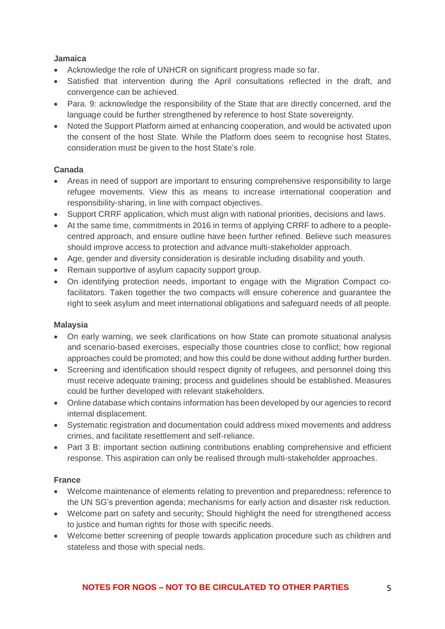#### **Jamaica**

- Acknowledge the role of UNHCR on significant progress made so far.
- Satisfied that intervention during the April consultations reflected in the draft, and convergence can be achieved.
- Para. 9: acknowledge the responsibility of the State that are directly concerned, and the language could be further strengthened by reference to host State sovereignty.
- Noted the Support Platform aimed at enhancing cooperation, and would be activated upon the consent of the host State. While the Platform does seem to recognise host States, consideration must be given to the host State's role.

# **Canada**

- Areas in need of support are important to ensuring comprehensive responsibility to large refugee movements. View this as means to increase international cooperation and responsibility-sharing, in line with compact objectives.
- Support CRRF application, which must align with national priorities, decisions and laws.
- At the same time, commitments in 2016 in terms of applying CRRF to adhere to a peoplecentred approach, and ensure outline have been further refined. Believe such measures should improve access to protection and advance multi-stakeholder approach.
- Age, gender and diversity consideration is desirable including disability and youth.
- Remain supportive of asylum capacity support group.
- On identifying protection needs, important to engage with the Migration Compact cofacilitators. Taken together the two compacts will ensure coherence and guarantee the right to seek asylum and meet international obligations and safeguard needs of all people.

## **Malaysia**

- On early warning, we seek clarifications on how State can promote situational analysis and scenario-based exercises, especially those countries close to conflict; how regional approaches could be promoted; and how this could be done without adding further burden.
- Screening and identification should respect dignity of refugees, and personnel doing this must receive adequate training; process and guidelines should be established. Measures could be further developed with relevant stakeholders.
- Online database which contains information has been developed by our agencies to record internal displacement.
- Systematic registration and documentation could address mixed movements and address crimes, and facilitate resettlement and self-reliance.
- Part 3 B: important section outlining contributions enabling comprehensive and efficient response. This aspiration can only be realised through multi-stakeholder approaches.

# **France**

- Welcome maintenance of elements relating to prevention and preparedness; reference to the UN SG's prevention agenda; mechanisms for early action and disaster risk reduction.
- Welcome part on safety and security; Should highlight the need for strengthened access to justice and human rights for those with specific needs.
- Welcome better screening of people towards application procedure such as children and stateless and those with special neds.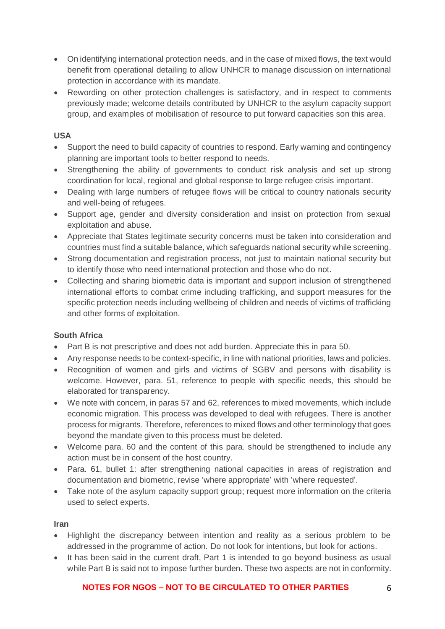- On identifying international protection needs, and in the case of mixed flows, the text would benefit from operational detailing to allow UNHCR to manage discussion on international protection in accordance with its mandate.
- Rewording on other protection challenges is satisfactory, and in respect to comments previously made; welcome details contributed by UNHCR to the asylum capacity support group, and examples of mobilisation of resource to put forward capacities son this area.

## **USA**

- Support the need to build capacity of countries to respond. Early warning and contingency planning are important tools to better respond to needs.
- Strengthening the ability of governments to conduct risk analysis and set up strong coordination for local, regional and global response to large refugee crisis important.
- Dealing with large numbers of refugee flows will be critical to country nationals security and well-being of refugees.
- Support age, gender and diversity consideration and insist on protection from sexual exploitation and abuse.
- Appreciate that States legitimate security concerns must be taken into consideration and countries must find a suitable balance, which safeguards national security while screening.
- Strong documentation and registration process, not just to maintain national security but to identify those who need international protection and those who do not.
- Collecting and sharing biometric data is important and support inclusion of strengthened international efforts to combat crime including trafficking, and support measures for the specific protection needs including wellbeing of children and needs of victims of trafficking and other forms of exploitation.

## **South Africa**

- Part B is not prescriptive and does not add burden. Appreciate this in para 50.
- Any response needs to be context-specific, in line with national priorities, laws and policies.
- Recognition of women and girls and victims of SGBV and persons with disability is welcome. However, para. 51, reference to people with specific needs, this should be elaborated for transparency.
- We note with concern, in paras 57 and 62, references to mixed movements, which include economic migration. This process was developed to deal with refugees. There is another process for migrants. Therefore, references to mixed flows and other terminology that goes beyond the mandate given to this process must be deleted.
- Welcome para. 60 and the content of this para. should be strengthened to include any action must be in consent of the host country.
- Para. 61, bullet 1: after strengthening national capacities in areas of registration and documentation and biometric, revise 'where appropriate' with 'where requested'.
- Take note of the asylum capacity support group; request more information on the criteria used to select experts.

#### **Iran**

- Highlight the discrepancy between intention and reality as a serious problem to be addressed in the programme of action. Do not look for intentions, but look for actions.
- It has been said in the current draft, Part 1 is intended to go beyond business as usual while Part B is said not to impose further burden. These two aspects are not in conformity.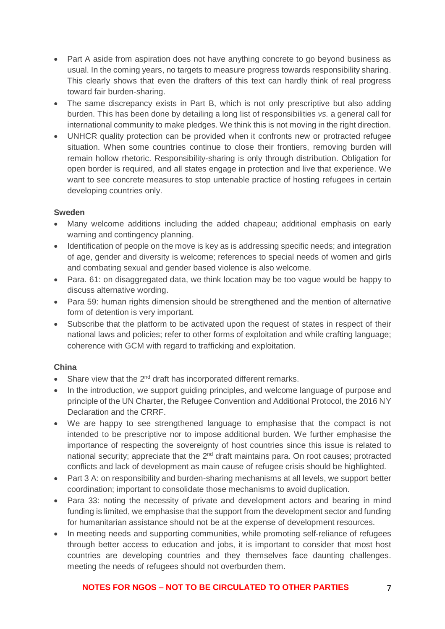- Part A aside from aspiration does not have anything concrete to go beyond business as usual. In the coming years, no targets to measure progress towards responsibility sharing. This clearly shows that even the drafters of this text can hardly think of real progress toward fair burden-sharing.
- The same discrepancy exists in Part B, which is not only prescriptive but also adding burden. This has been done by detailing a long list of responsibilities *vs.* a general call for international community to make pledges. We think this is not moving in the right direction.
- UNHCR quality protection can be provided when it confronts new or protracted refugee situation. When some countries continue to close their frontiers, removing burden will remain hollow rhetoric. Responsibility-sharing is only through distribution. Obligation for open border is required, and all states engage in protection and live that experience. We want to see concrete measures to stop untenable practice of hosting refugees in certain developing countries only.

## **Sweden**

- Many welcome additions including the added chapeau; additional emphasis on early warning and contingency planning.
- Identification of people on the move is key as is addressing specific needs; and integration of age, gender and diversity is welcome; references to special needs of women and girls and combating sexual and gender based violence is also welcome.
- Para. 61: on disaggregated data, we think location may be too vague would be happy to discuss alternative wording.
- Para 59: human rights dimension should be strengthened and the mention of alternative form of detention is very important.
- Subscribe that the platform to be activated upon the request of states in respect of their national laws and policies; refer to other forms of exploitation and while crafting language; coherence with GCM with regard to trafficking and exploitation.

## **China**

- Share view that the  $2^{nd}$  draft has incorporated different remarks.
- In the introduction, we support guiding principles, and welcome language of purpose and principle of the UN Charter, the Refugee Convention and Additional Protocol, the 2016 NY Declaration and the CRRF.
- We are happy to see strengthened language to emphasise that the compact is not intended to be prescriptive nor to impose additional burden. We further emphasise the importance of respecting the sovereignty of host countries since this issue is related to national security; appreciate that the 2<sup>nd</sup> draft maintains para. On root causes; protracted conflicts and lack of development as main cause of refugee crisis should be highlighted.
- Part 3 A: on responsibility and burden-sharing mechanisms at all levels, we support better coordination; important to consolidate those mechanisms to avoid duplication.
- Para 33: noting the necessity of private and development actors and bearing in mind funding is limited, we emphasise that the support from the development sector and funding for humanitarian assistance should not be at the expense of development resources.
- In meeting needs and supporting communities, while promoting self-reliance of refugees through better access to education and jobs, it is important to consider that most host countries are developing countries and they themselves face daunting challenges. meeting the needs of refugees should not overburden them.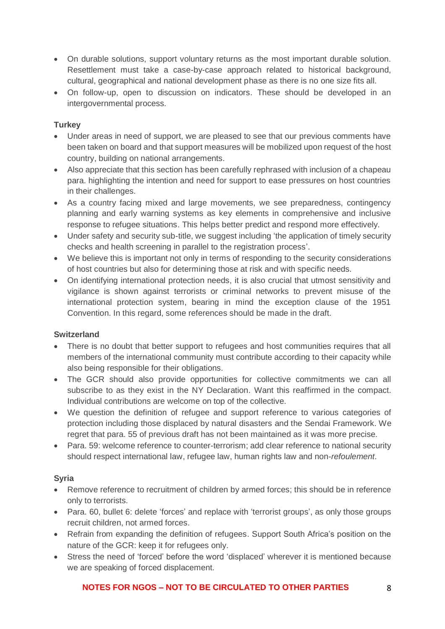- On durable solutions, support voluntary returns as the most important durable solution. Resettlement must take a case-by-case approach related to historical background, cultural, geographical and national development phase as there is no one size fits all.
- On follow-up, open to discussion on indicators. These should be developed in an intergovernmental process.

## **Turkey**

- Under areas in need of support, we are pleased to see that our previous comments have been taken on board and that support measures will be mobilized upon request of the host country, building on national arrangements.
- Also appreciate that this section has been carefully rephrased with inclusion of a chapeau para. highlighting the intention and need for support to ease pressures on host countries in their challenges.
- As a country facing mixed and large movements, we see preparedness, contingency planning and early warning systems as key elements in comprehensive and inclusive response to refugee situations. This helps better predict and respond more effectively.
- Under safety and security sub-title, we suggest including 'the application of timely security checks and health screening in parallel to the registration process'.
- We believe this is important not only in terms of responding to the security considerations of host countries but also for determining those at risk and with specific needs.
- On identifying international protection needs, it is also crucial that utmost sensitivity and vigilance is shown against terrorists or criminal networks to prevent misuse of the international protection system, bearing in mind the exception clause of the 1951 Convention. In this regard, some references should be made in the draft.

#### **Switzerland**

- There is no doubt that better support to refugees and host communities requires that all members of the international community must contribute according to their capacity while also being responsible for their obligations.
- The GCR should also provide opportunities for collective commitments we can all subscribe to as they exist in the NY Declaration. Want this reaffirmed in the compact. Individual contributions are welcome on top of the collective.
- We question the definition of refugee and support reference to various categories of protection including those displaced by natural disasters and the Sendai Framework. We regret that para. 55 of previous draft has not been maintained as it was more precise.
- Para. 59: welcome reference to counter-terrorism; add clear reference to national security should respect international law, refugee law, human rights law and non-*refoulement*.

## **Syria**

- Remove reference to recruitment of children by armed forces; this should be in reference only to terrorists.
- Para, 60, bullet 6: delete 'forces' and replace with 'terrorist groups', as only those groups recruit children, not armed forces.
- Refrain from expanding the definition of refugees. Support South Africa's position on the nature of the GCR: keep it for refugees only.
- Stress the need of 'forced' before the word 'displaced' wherever it is mentioned because we are speaking of forced displacement.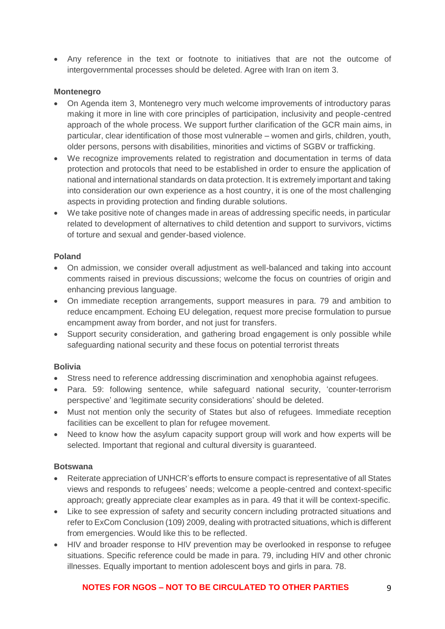• Any reference in the text or footnote to initiatives that are not the outcome of intergovernmental processes should be deleted. Agree with Iran on item 3.

#### **Montenegro**

- On Agenda item 3, Montenegro very much welcome improvements of introductory paras making it more in line with core principles of participation, inclusivity and people-centred approach of the whole process. We support further clarification of the GCR main aims, in particular, clear identification of those most vulnerable – women and girls, children, youth, older persons, persons with disabilities, minorities and victims of SGBV or trafficking.
- We recognize improvements related to registration and documentation in terms of data protection and protocols that need to be established in order to ensure the application of national and international standards on data protection. It is extremely important and taking into consideration our own experience as a host country, it is one of the most challenging aspects in providing protection and finding durable solutions.
- We take positive note of changes made in areas of addressing specific needs, in particular related to development of alternatives to child detention and support to survivors, victims of torture and sexual and gender-based violence.

## **Poland**

- On admission, we consider overall adjustment as well-balanced and taking into account comments raised in previous discussions; welcome the focus on countries of origin and enhancing previous language.
- On immediate reception arrangements, support measures in para. 79 and ambition to reduce encampment. Echoing EU delegation, request more precise formulation to pursue encampment away from border, and not just for transfers.
- Support security consideration, and gathering broad engagement is only possible while safeguarding national security and these focus on potential terrorist threats

#### **Bolivia**

- Stress need to reference addressing discrimination and xenophobia against refugees.
- Para. 59: following sentence, while safeguard national security, 'counter-terrorism perspective' and 'legitimate security considerations' should be deleted.
- Must not mention only the security of States but also of refugees. Immediate reception facilities can be excellent to plan for refugee movement.
- Need to know how the asylum capacity support group will work and how experts will be selected. Important that regional and cultural diversity is guaranteed.

## **Botswana**

- Reiterate appreciation of UNHCR's efforts to ensure compact is representative of all States views and responds to refugees' needs; welcome a people-centred and context-specific approach; greatly appreciate clear examples as in para. 49 that it will be context-specific.
- Like to see expression of safety and security concern including protracted situations and refer to ExCom Conclusion (109) 2009, dealing with protracted situations, which is different from emergencies. Would like this to be reflected.
- HIV and broader response to HIV prevention may be overlooked in response to refugee situations. Specific reference could be made in para. 79, including HIV and other chronic illnesses. Equally important to mention adolescent boys and girls in para. 78.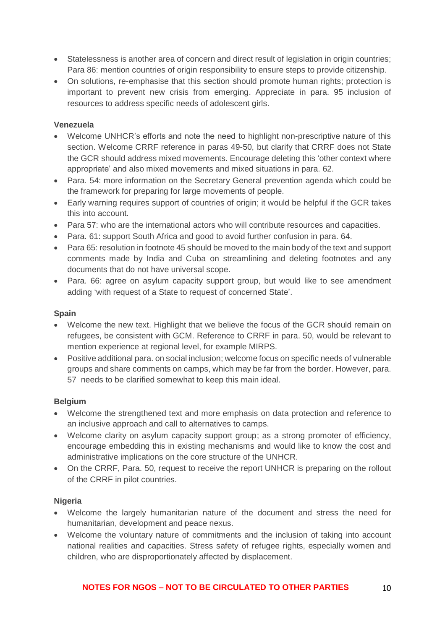- Statelessness is another area of concern and direct result of legislation in origin countries; Para 86: mention countries of origin responsibility to ensure steps to provide citizenship.
- On solutions, re-emphasise that this section should promote human rights; protection is important to prevent new crisis from emerging. Appreciate in para. 95 inclusion of resources to address specific needs of adolescent girls.

#### **Venezuela**

- Welcome UNHCR's efforts and note the need to highlight non-prescriptive nature of this section. Welcome CRRF reference in paras 49-50, but clarify that CRRF does not State the GCR should address mixed movements. Encourage deleting this 'other context where appropriate' and also mixed movements and mixed situations in para. 62.
- Para. 54: more information on the Secretary General prevention agenda which could be the framework for preparing for large movements of people.
- Early warning requires support of countries of origin; it would be helpful if the GCR takes this into account.
- Para 57: who are the international actors who will contribute resources and capacities.
- Para. 61: support South Africa and good to avoid further confusion in para. 64.
- Para 65: resolution in footnote 45 should be moved to the main body of the text and support comments made by India and Cuba on streamlining and deleting footnotes and any documents that do not have universal scope.
- Para. 66: agree on asylum capacity support group, but would like to see amendment adding 'with request of a State to request of concerned State'.

#### **Spain**

- Welcome the new text. Highlight that we believe the focus of the GCR should remain on refugees, be consistent with GCM. Reference to CRRF in para. 50, would be relevant to mention experience at regional level, for example MIRPS.
- Positive additional para. on social inclusion; welcome focus on specific needs of vulnerable groups and share comments on camps, which may be far from the border. However, para. 57 needs to be clarified somewhat to keep this main ideal.

#### **Belgium**

- Welcome the strengthened text and more emphasis on data protection and reference to an inclusive approach and call to alternatives to camps.
- Welcome clarity on asylum capacity support group; as a strong promoter of efficiency, encourage embedding this in existing mechanisms and would like to know the cost and administrative implications on the core structure of the UNHCR.
- On the CRRF, Para. 50, request to receive the report UNHCR is preparing on the rollout of the CRRF in pilot countries.

#### **Nigeria**

- Welcome the largely humanitarian nature of the document and stress the need for humanitarian, development and peace nexus.
- Welcome the voluntary nature of commitments and the inclusion of taking into account national realities and capacities. Stress safety of refugee rights, especially women and children, who are disproportionately affected by displacement.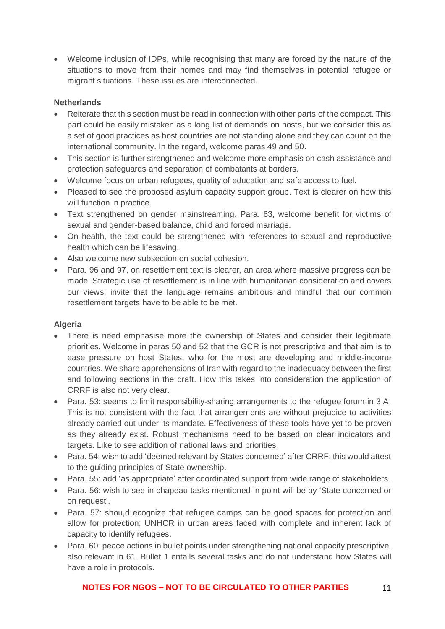• Welcome inclusion of IDPs, while recognising that many are forced by the nature of the situations to move from their homes and may find themselves in potential refugee or migrant situations. These issues are interconnected.

#### **Netherlands**

- Reiterate that this section must be read in connection with other parts of the compact. This part could be easily mistaken as a long list of demands on hosts, but we consider this as a set of good practices as host countries are not standing alone and they can count on the international community. In the regard, welcome paras 49 and 50.
- This section is further strengthened and welcome more emphasis on cash assistance and protection safeguards and separation of combatants at borders.
- Welcome focus on urban refugees, quality of education and safe access to fuel.
- Pleased to see the proposed asylum capacity support group. Text is clearer on how this will function in practice.
- Text strengthened on gender mainstreaming. Para. 63, welcome benefit for victims of sexual and gender-based balance, child and forced marriage.
- On health, the text could be strengthened with references to sexual and reproductive health which can be lifesaving.
- Also welcome new subsection on social cohesion.
- Para. 96 and 97, on resettlement text is clearer, an area where massive progress can be made. Strategic use of resettlement is in line with humanitarian consideration and covers our views; invite that the language remains ambitious and mindful that our common resettlement targets have to be able to be met.

#### **Algeria**

- There is need emphasise more the ownership of States and consider their legitimate priorities. Welcome in paras 50 and 52 that the GCR is not prescriptive and that aim is to ease pressure on host States, who for the most are developing and middle-income countries. We share apprehensions of Iran with regard to the inadequacy between the first and following sections in the draft. How this takes into consideration the application of CRRF is also not very clear.
- Para. 53: seems to limit responsibility-sharing arrangements to the refugee forum in 3 A. This is not consistent with the fact that arrangements are without prejudice to activities already carried out under its mandate. Effectiveness of these tools have yet to be proven as they already exist. Robust mechanisms need to be based on clear indicators and targets. Like to see addition of national laws and priorities.
- Para. 54: wish to add 'deemed relevant by States concerned' after CRRF; this would attest to the guiding principles of State ownership.
- Para. 55: add 'as appropriate' after coordinated support from wide range of stakeholders.
- Para. 56: wish to see in chapeau tasks mentioned in point will be by 'State concerned or on request'.
- Para. 57: shou,d ecognize that refugee camps can be good spaces for protection and allow for protection; UNHCR in urban areas faced with complete and inherent lack of capacity to identify refugees.
- Para. 60: peace actions in bullet points under strengthening national capacity prescriptive, also relevant in 61. Bullet 1 entails several tasks and do not understand how States will have a role in protocols.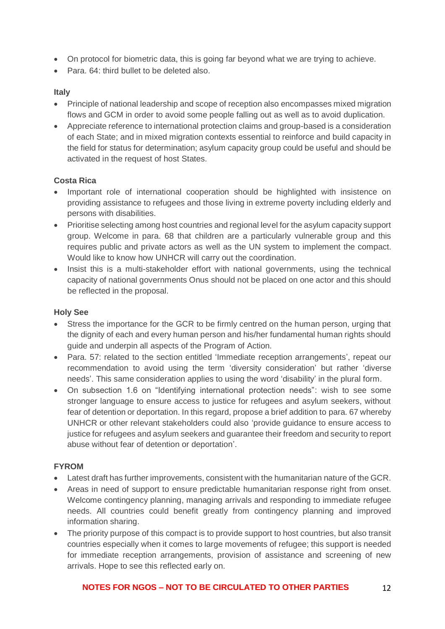- On protocol for biometric data, this is going far beyond what we are trying to achieve.
- Para. 64: third bullet to be deleted also.

## **Italy**

- Principle of national leadership and scope of reception also encompasses mixed migration flows and GCM in order to avoid some people falling out as well as to avoid duplication.
- Appreciate reference to international protection claims and group-based is a consideration of each State; and in mixed migration contexts essential to reinforce and build capacity in the field for status for determination; asylum capacity group could be useful and should be activated in the request of host States.

# **Costa Rica**

- Important role of international cooperation should be highlighted with insistence on providing assistance to refugees and those living in extreme poverty including elderly and persons with disabilities.
- Prioritise selecting among host countries and regional level for the asylum capacity support group. Welcome in para. 68 that children are a particularly vulnerable group and this requires public and private actors as well as the UN system to implement the compact. Would like to know how UNHCR will carry out the coordination.
- Insist this is a multi-stakeholder effort with national governments, using the technical capacity of national governments Onus should not be placed on one actor and this should be reflected in the proposal.

# **Holy See**

- Stress the importance for the GCR to be firmly centred on the human person, urging that the dignity of each and every human person and his/her fundamental human rights should guide and underpin all aspects of the Program of Action.
- Para. 57: related to the section entitled 'Immediate reception arrangements', repeat our recommendation to avoid using the term 'diversity consideration' but rather 'diverse needs'. This same consideration applies to using the word 'disability' in the plural form.
- On subsection 1.6 on "Identifying international protection needs": wish to see some stronger language to ensure access to justice for refugees and asylum seekers, without fear of detention or deportation. In this regard, propose a brief addition to para. 67 whereby UNHCR or other relevant stakeholders could also 'provide guidance to ensure access to justice for refugees and asylum seekers and guarantee their freedom and security to report abuse without fear of detention or deportation'.

## **FYROM**

- Latest draft has further improvements, consistent with the humanitarian nature of the GCR.
- Areas in need of support to ensure predictable humanitarian response right from onset. Welcome contingency planning, managing arrivals and responding to immediate refugee needs. All countries could benefit greatly from contingency planning and improved information sharing.
- The priority purpose of this compact is to provide support to host countries, but also transit countries especially when it comes to large movements of refugee; this support is needed for immediate reception arrangements, provision of assistance and screening of new arrivals. Hope to see this reflected early on.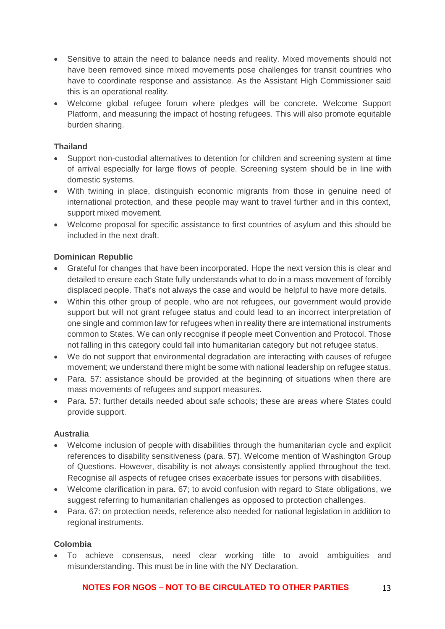- Sensitive to attain the need to balance needs and reality. Mixed movements should not have been removed since mixed movements pose challenges for transit countries who have to coordinate response and assistance. As the Assistant High Commissioner said this is an operational reality.
- Welcome global refugee forum where pledges will be concrete. Welcome Support Platform, and measuring the impact of hosting refugees. This will also promote equitable burden sharing.

## **Thailand**

- Support non-custodial alternatives to detention for children and screening system at time of arrival especially for large flows of people. Screening system should be in line with domestic systems.
- With twining in place, distinguish economic migrants from those in genuine need of international protection, and these people may want to travel further and in this context, support mixed movement.
- Welcome proposal for specific assistance to first countries of asylum and this should be included in the next draft.

## **Dominican Republic**

- Grateful for changes that have been incorporated. Hope the next version this is clear and detailed to ensure each State fully understands what to do in a mass movement of forcibly displaced people. That's not always the case and would be helpful to have more details.
- Within this other group of people, who are not refugees, our government would provide support but will not grant refugee status and could lead to an incorrect interpretation of one single and common law for refugees when in reality there are international instruments common to States. We can only recognise if people meet Convention and Protocol. Those not falling in this category could fall into humanitarian category but not refugee status.
- We do not support that environmental degradation are interacting with causes of refugee movement; we understand there might be some with national leadership on refugee status.
- Para. 57: assistance should be provided at the beginning of situations when there are mass movements of refugees and support measures.
- Para. 57: further details needed about safe schools; these are areas where States could provide support.

#### **Australia**

- Welcome inclusion of people with disabilities through the humanitarian cycle and explicit references to disability sensitiveness (para. 57). Welcome mention of Washington Group of Questions. However, disability is not always consistently applied throughout the text. Recognise all aspects of refugee crises exacerbate issues for persons with disabilities.
- Welcome clarification in para. 67; to avoid confusion with regard to State obligations, we suggest referring to humanitarian challenges as opposed to protection challenges.
- Para. 67: on protection needs, reference also needed for national legislation in addition to regional instruments.

#### **Colombia**

• To achieve consensus, need clear working title to avoid ambiguities and misunderstanding. This must be in line with the NY Declaration.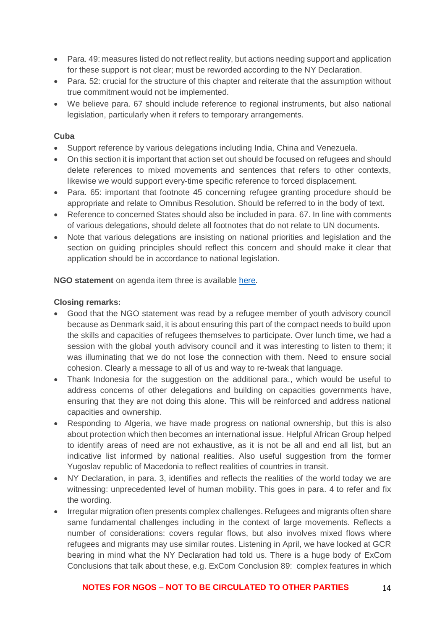- Para. 49: measures listed do not reflect reality, but actions needing support and application for these support is not clear; must be reworded according to the NY Declaration.
- Para, 52; crucial for the structure of this chapter and reiterate that the assumption without true commitment would not be implemented.
- We believe para. 67 should include reference to regional instruments, but also national legislation, particularly when it refers to temporary arrangements.

#### **Cuba**

- Support reference by various delegations including India, China and Venezuela.
- On this section it is important that action set out should be focused on refugees and should delete references to mixed movements and sentences that refers to other contexts, likewise we would support every-time specific reference to forced displacement.
- Para. 65: important that footnote 45 concerning refugee granting procedure should be appropriate and relate to Omnibus Resolution. Should be referred to in the body of text.
- Reference to concerned States should also be included in para. 67. In line with comments of various delegations, should delete all footnotes that do not relate to UN documents.
- Note that various delegations are insisting on national priorities and legislation and the section on guiding principles should reflect this concern and should make it clear that application should be in accordance to national legislation.

**NGO statement** on agenda item three is available [here.](https://www.icvanetwork.org/system/files/versions/Agenda%20item%203_fourth%20formal%20consultations_ORAL_May2018.pdf)

#### **Closing remarks:**

- Good that the NGO statement was read by a refugee member of youth advisory council because as Denmark said, it is about ensuring this part of the compact needs to build upon the skills and capacities of refugees themselves to participate. Over lunch time, we had a session with the global youth advisory council and it was interesting to listen to them; it was illuminating that we do not lose the connection with them. Need to ensure social cohesion. Clearly a message to all of us and way to re-tweak that language.
- Thank Indonesia for the suggestion on the additional para., which would be useful to address concerns of other delegations and building on capacities governments have, ensuring that they are not doing this alone. This will be reinforced and address national capacities and ownership.
- Responding to Algeria, we have made progress on national ownership, but this is also about protection which then becomes an international issue. Helpful African Group helped to identify areas of need are not exhaustive, as it is not be all and end all list, but an indicative list informed by national realities. Also useful suggestion from the former Yugoslav republic of Macedonia to reflect realities of countries in transit.
- NY Declaration, in para. 3, identifies and reflects the realities of the world today we are witnessing: unprecedented level of human mobility. This goes in para. 4 to refer and fix the wording.
- Irregular migration often presents complex challenges. Refugees and migrants often share same fundamental challenges including in the context of large movements. Reflects a number of considerations: covers regular flows, but also involves mixed flows where refugees and migrants may use similar routes. Listening in April, we have looked at GCR bearing in mind what the NY Declaration had told us. There is a huge body of ExCom Conclusions that talk about these, e.g. ExCom Conclusion 89: complex features in which